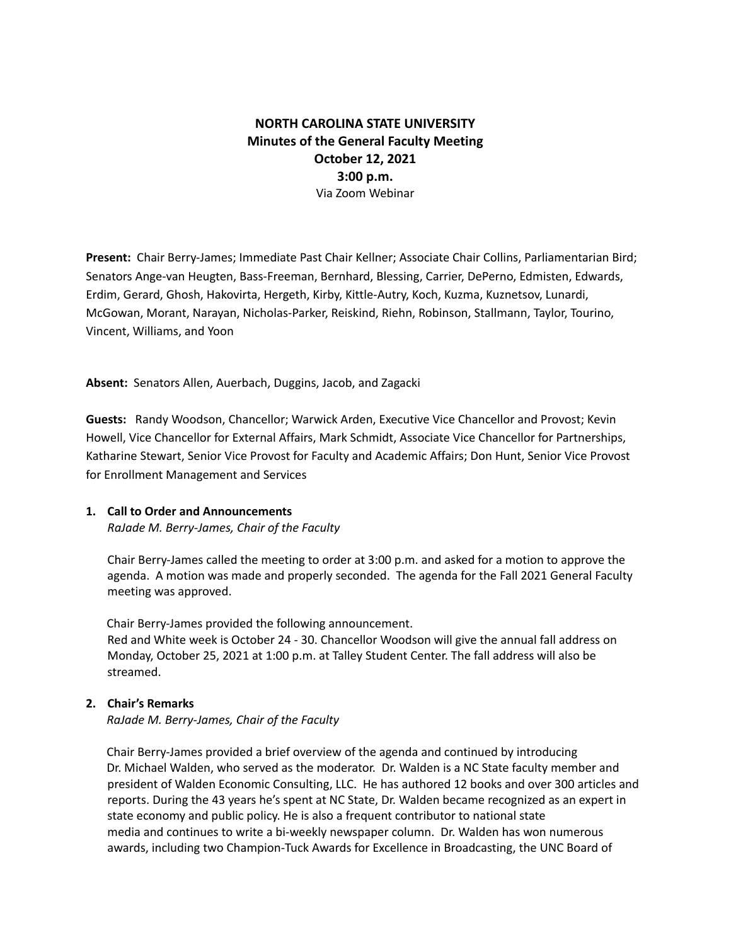# **NORTH CAROLINA STATE UNIVERSITY Minutes of the General Faculty Meeting October 12, 2021 3:00 p.m.** Via Zoom Webinar

**Present:** Chair Berry-James; Immediate Past Chair Kellner; Associate Chair Collins, Parliamentarian Bird; Senators Ange-van Heugten, Bass-Freeman, Bernhard, Blessing, Carrier, DePerno, Edmisten, Edwards, Erdim, Gerard, Ghosh, Hakovirta, Hergeth, Kirby, Kittle-Autry, Koch, Kuzma, Kuznetsov, Lunardi, McGowan, Morant, Narayan, Nicholas-Parker, Reiskind, Riehn, Robinson, Stallmann, Taylor, Tourino, Vincent, Williams, and Yoon

**Absent:** Senators Allen, Auerbach, Duggins, Jacob, and Zagacki

**Guests:** Randy Woodson, Chancellor; Warwick Arden, Executive Vice Chancellor and Provost; Kevin Howell, Vice Chancellor for External Affairs, Mark Schmidt, Associate Vice Chancellor for Partnerships, Katharine Stewart, Senior Vice Provost for Faculty and Academic Affairs; Don Hunt, Senior Vice Provost for Enrollment Management and Services

# **1. Call to Order and Announcements**

*RaJade M. Berry-James, Chair of the Faculty*

Chair Berry-James called the meeting to order at 3:00 p.m. and asked for a motion to approve the agenda. A motion was made and properly seconded. The agenda for the Fall 2021 General Faculty meeting was approved.

Chair Berry-James provided the following announcement. Red and White week is October 24 - 30. Chancellor Woodson will give the annual fall address on Monday, October 25, 2021 at 1:00 p.m. at Talley Student Center. The fall address will also be streamed.

# **2. Chair's Remarks**

*RaJade M. Berry-James, Chair of the Faculty*

Chair Berry-James provided a brief overview of the agenda and continued by introducing Dr. Michael Walden, who served as the moderator. Dr. Walden is a NC State faculty member and president of Walden Economic Consulting, LLC. He has authored 12 books and over 300 articles and reports. During the 43 years he's spent at NC State, Dr. Walden became recognized as an expert in state economy and public policy. He is also a frequent contributor to national state media and continues to write a bi-weekly newspaper column. Dr. Walden has won numerous awards, including two Champion-Tuck Awards for Excellence in Broadcasting, the UNC Board of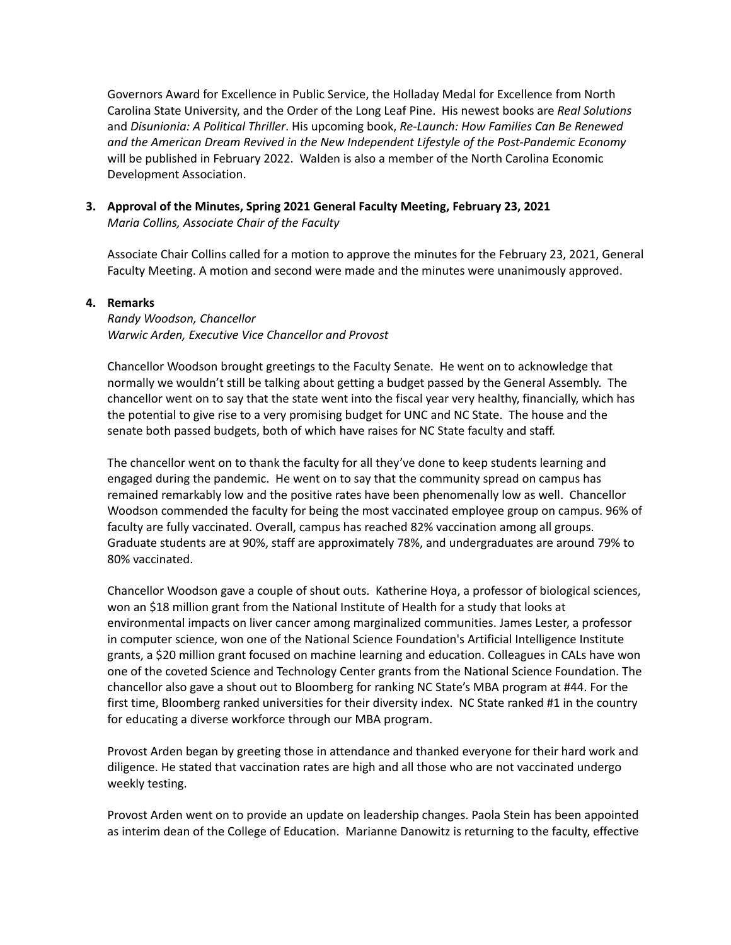Governors Award for Excellence in Public Service, the Holladay Medal for Excellence from North Carolina State University, and the Order of the Long Leaf Pine. His newest books are *Real Solutions* and *Disunionia: A Political Thriller*. His upcoming book, *Re-Launch: How Families Can Be Renewed and the American Dream Revived in the New Independent Lifestyle of the Post-Pandemic Economy* will be published in February 2022. Walden is also a member of the North Carolina Economic Development Association.

# **3. Approval of the Minutes, Spring 2021 General Faculty Meeting, February 23, 2021** *Maria Collins, Associate Chair of the Faculty*

Associate Chair Collins called for a motion to approve the minutes for the February 23, 2021, General Faculty Meeting. A motion and second were made and the minutes were unanimously approved.

### **4. Remarks**

*Randy Woodson, Chancellor Warwic Arden, Executive Vice Chancellor and Provost*

Chancellor Woodson brought greetings to the Faculty Senate. He went on to acknowledge that normally we wouldn't still be talking about getting a budget passed by the General Assembly. The chancellor went on to say that the state went into the fiscal year very healthy, financially, which has the potential to give rise to a very promising budget for UNC and NC State. The house and the senate both passed budgets, both of which have raises for NC State faculty and staff.

The chancellor went on to thank the faculty for all they've done to keep students learning and engaged during the pandemic. He went on to say that the community spread on campus has remained remarkably low and the positive rates have been phenomenally low as well. Chancellor Woodson commended the faculty for being the most vaccinated employee group on campus. 96% of faculty are fully vaccinated. Overall, campus has reached 82% vaccination among all groups. Graduate students are at 90%, staff are approximately 78%, and undergraduates are around 79% to 80% vaccinated.

Chancellor Woodson gave a couple of shout outs. Katherine Hoya, a professor of biological sciences, won an \$18 million grant from the National Institute of Health for a study that looks at environmental impacts on liver cancer among marginalized communities. James Lester, a professor in computer science, won one of the National Science Foundation's Artificial Intelligence Institute grants, a \$20 million grant focused on machine learning and education. Colleagues in CALs have won one of the coveted Science and Technology Center grants from the National Science Foundation. The chancellor also gave a shout out to Bloomberg for ranking NC State's MBA program at #44. For the first time, Bloomberg ranked universities for their diversity index. NC State ranked #1 in the country for educating a diverse workforce through our MBA program.

Provost Arden began by greeting those in attendance and thanked everyone for their hard work and diligence. He stated that vaccination rates are high and all those who are not vaccinated undergo weekly testing.

Provost Arden went on to provide an update on leadership changes. Paola Stein has been appointed as interim dean of the College of Education. Marianne Danowitz is returning to the faculty, effective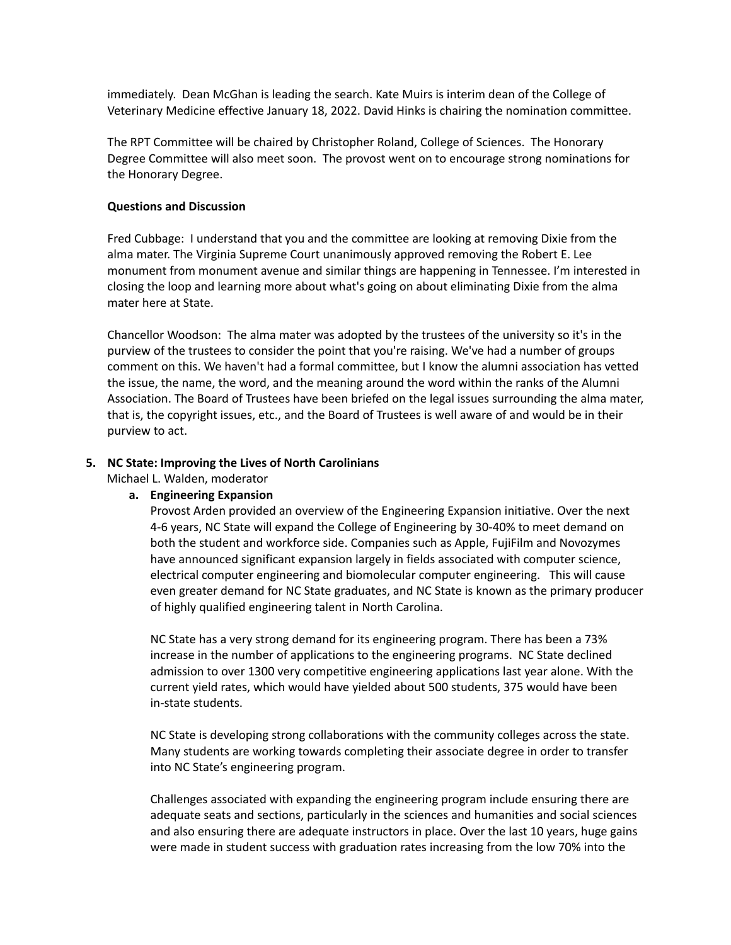immediately. Dean McGhan is leading the search. Kate Muirs is interim dean of the College of Veterinary Medicine effective January 18, 2022. David Hinks is chairing the nomination committee.

The RPT Committee will be chaired by Christopher Roland, College of Sciences. The Honorary Degree Committee will also meet soon. The provost went on to encourage strong nominations for the Honorary Degree.

### **Questions and Discussion**

Fred Cubbage: I understand that you and the committee are looking at removing Dixie from the alma mater. The Virginia Supreme Court unanimously approved removing the Robert E. Lee monument from monument avenue and similar things are happening in Tennessee. I'm interested in closing the loop and learning more about what's going on about eliminating Dixie from the alma mater here at State.

Chancellor Woodson: The alma mater was adopted by the trustees of the university so it's in the purview of the trustees to consider the point that you're raising. We've had a number of groups comment on this. We haven't had a formal committee, but I know the alumni association has vetted the issue, the name, the word, and the meaning around the word within the ranks of the Alumni Association. The Board of Trustees have been briefed on the legal issues surrounding the alma mater, that is, the copyright issues, etc., and the Board of Trustees is well aware of and would be in their purview to act.

### **5. NC State: Improving the Lives of North Carolinians**

Michael L. Walden, moderator

# **a. Engineering Expansion**

Provost Arden provided an overview of the Engineering Expansion initiative. Over the next 4-6 years, NC State will expand the College of Engineering by 30-40% to meet demand on both the student and workforce side. Companies such as Apple, FujiFilm and Novozymes have announced significant expansion largely in fields associated with computer science, electrical computer engineering and biomolecular computer engineering. This will cause even greater demand for NC State graduates, and NC State is known as the primary producer of highly qualified engineering talent in North Carolina.

NC State has a very strong demand for its engineering program. There has been a 73% increase in the number of applications to the engineering programs. NC State declined admission to over 1300 very competitive engineering applications last year alone. With the current yield rates, which would have yielded about 500 students, 375 would have been in-state students.

NC State is developing strong collaborations with the community colleges across the state. Many students are working towards completing their associate degree in order to transfer into NC State's engineering program.

Challenges associated with expanding the engineering program include ensuring there are adequate seats and sections, particularly in the sciences and humanities and social sciences and also ensuring there are adequate instructors in place. Over the last 10 years, huge gains were made in student success with graduation rates increasing from the low 70% into the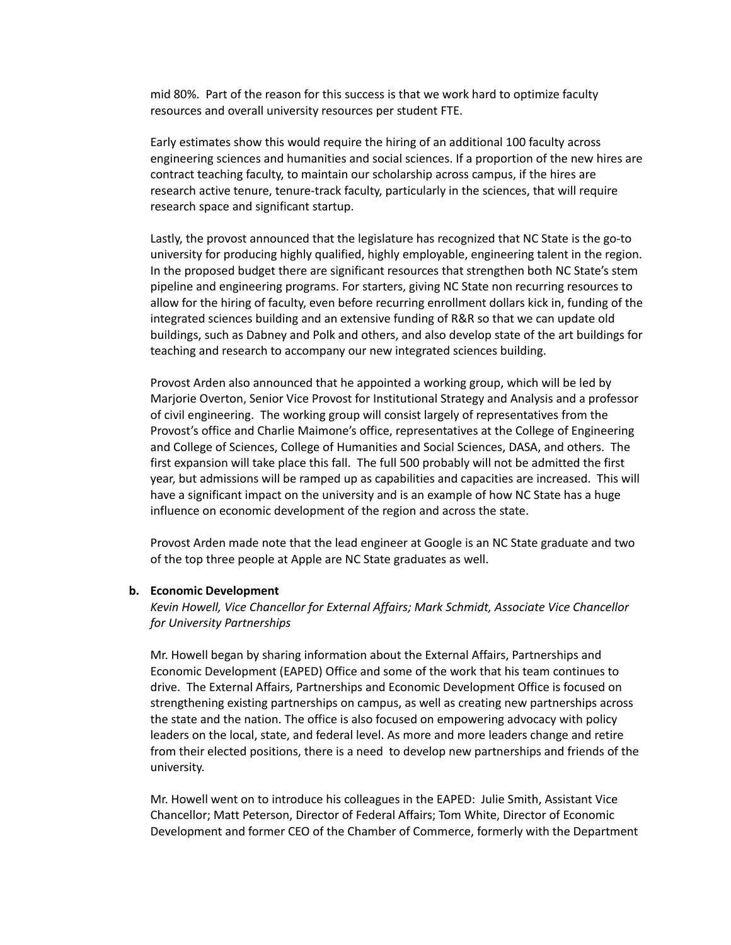mid 80%. Part of the reason for this success is that we work hard to optimize faculty resources and overall university resources per student FTE.

Early estimates show this would require the hiring of an additional 100 faculty across engineering sciences and humanities and social sciences. If a proportion of the new hires are contract teaching faculty, to maintain our scholarship across campus, if the hires are research active tenure, tenure-track faculty, particularly in the sciences, that will require research space and significant startup.

Lastly, the provost announced that the legislature has recognized that NC State is the go-to university for producing highly qualified, highly employable, engineering talent in the region. In the proposed budget there are significant resources that strengthen both NC State's stem pipeline and engineering programs. For starters, giving NC State non recurring resources to allow for the hiring of faculty, even before recurring enrollment dollars kick in, funding of the integrated sciences building and an extensive funding of R&R so that we can update old buildings, such as Dabney and Polk and others, and also develop state of the art buildings for teaching and research to accompany our new integrated sciences building.

Provost Arden also announced that he appointed a working group, which will be led by Marjorie Overton, Senior Vice Provost for Institutional Strategy and Analysis and a professor of civil engineering. The working group will consist largely of representatives from the Provost's office and Charlie Maimone's office, representatives at the College of Engineering and College of Sciences, College of Humanities and Social Sciences, DASA, and others. The first expansion will take place this fall. The full 500 probably will not be admitted the first year, but admissions will be ramped up as capabilities and capacities are increased. This will have a significant impact on the university and is an example of how NC State has a huge influence on economic development of the region and across the state.

Provost Arden made note that the lead engineer at Google is an NC State graduate and two of the top three people at Apple are NC State graduates as well.

#### **b. Economic Development**

*Kevin Howell, Vice Chancellor for External Affairs; Mark Schmidt, Associate Vice Chancellor for University Partnerships*

Mr. Howell began by sharing information about the External Affairs, Partnerships and Economic Development (EAPED) Office and some of the work that his team continues to drive. The External Affairs, Partnerships and Economic Development Office is focused on strengthening existing partnerships on campus, as well as creating new partnerships across the state and the nation. The office is also focused on empowering advocacy with policy leaders on the local, state, and federal level. As more and more leaders change and retire from their elected positions, there is a need to develop new partnerships and friends of the university.

Mr. Howell went on to introduce his colleagues in the EAPED: Julie Smith, Assistant Vice Chancellor; Matt Peterson, Director of Federal Affairs; Tom White, Director of Economic Development and former CEO of the Chamber of Commerce, formerly with the Department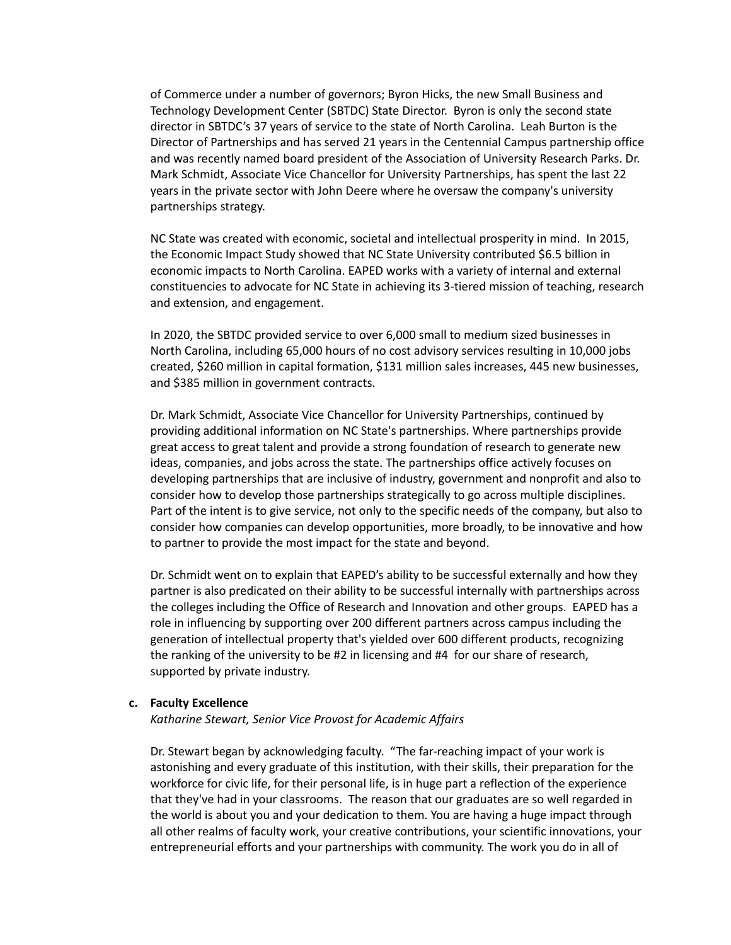of Commerce under a number of governors; Byron Hicks, the new Small Business and Technology Development Center (SBTDC) State Director. Byron is only the second state director in SBTDC's 37 years of service to the state of North Carolina. Leah Burton is the Director of Partnerships and has served 21 years in the Centennial Campus partnership office and was recently named board president of the Association of University Research Parks. Dr. Mark Schmidt, Associate Vice Chancellor for University Partnerships, has spent the last 22 years in the private sector with John Deere where he oversaw the company's university partnerships strategy.

NC State was created with economic, societal and intellectual prosperity in mind. In 2015, the Economic Impact Study showed that NC State University contributed \$6.5 billion in economic impacts to North Carolina. EAPED works with a variety of internal and external constituencies to advocate for NC State in achieving its 3-tiered mission of teaching, research and extension, and engagement.

In 2020, the SBTDC provided service to over 6,000 small to medium sized businesses in North Carolina, including 65,000 hours of no cost advisory services resulting in 10,000 jobs created, \$260 million in capital formation, \$131 million sales increases, 445 new businesses, and \$385 million in government contracts.

Dr. Mark Schmidt, Associate Vice Chancellor for University Partnerships, continued by providing additional information on NC State's partnerships. Where partnerships provide great access to great talent and provide a strong foundation of research to generate new ideas, companies, and jobs across the state. The partnerships office actively focuses on developing partnerships that are inclusive of industry, government and nonprofit and also to consider how to develop those partnerships strategically to go across multiple disciplines. Part of the intent is to give service, not only to the specific needs of the company, but also to consider how companies can develop opportunities, more broadly, to be innovative and how to partner to provide the most impact for the state and beyond.

Dr. Schmidt went on to explain that EAPED's ability to be successful externally and how they partner is also predicated on their ability to be successful internally with partnerships across the colleges including the Office of Research and Innovation and other groups. EAPED has a role in influencing by supporting over 200 different partners across campus including the generation of intellectual property that's yielded over 600 different products, recognizing the ranking of the university to be #2 in licensing and #4 for our share of research, supported by private industry.

#### **c. Faculty Excellence**

*Katharine Stewart, Senior Vice Provost for Academic Affairs*

Dr. Stewart began by acknowledging faculty. "The far-reaching impact of your work is astonishing and every graduate of this institution, with their skills, their preparation for the workforce for civic life, for their personal life, is in huge part a reflection of the experience that they've had in your classrooms. The reason that our graduates are so well regarded in the world is about you and your dedication to them. You are having a huge impact through all other realms of faculty work, your creative contributions, your scientific innovations, your entrepreneurial efforts and your partnerships with community. The work you do in all of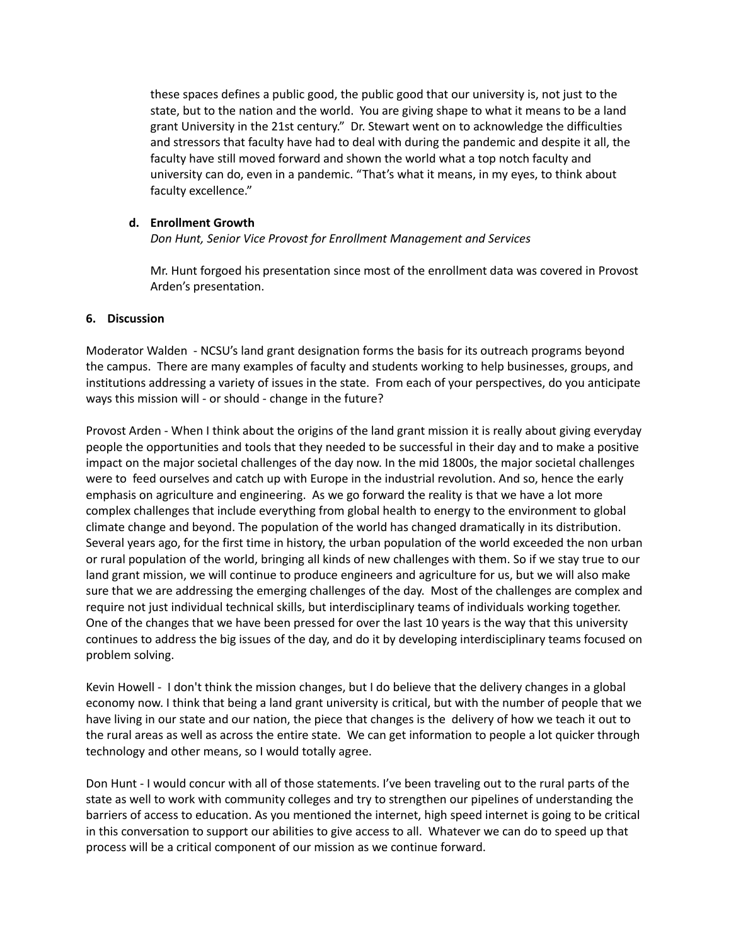these spaces defines a public good, the public good that our university is, not just to the state, but to the nation and the world. You are giving shape to what it means to be a land grant University in the 21st century." Dr. Stewart went on to acknowledge the difficulties and stressors that faculty have had to deal with during the pandemic and despite it all, the faculty have still moved forward and shown the world what a top notch faculty and university can do, even in a pandemic. "That's what it means, in my eyes, to think about faculty excellence."

# **d. Enrollment Growth**

*Don Hunt, Senior Vice Provost for Enrollment Management and Services*

Mr. Hunt forgoed his presentation since most of the enrollment data was covered in Provost Arden's presentation.

### **6. Discussion**

Moderator Walden - NCSU's land grant designation forms the basis for its outreach programs beyond the campus. There are many examples of faculty and students working to help businesses, groups, and institutions addressing a variety of issues in the state. From each of your perspectives, do you anticipate ways this mission will - or should - change in the future?

Provost Arden - When I think about the origins of the land grant mission it is really about giving everyday people the opportunities and tools that they needed to be successful in their day and to make a positive impact on the major societal challenges of the day now. In the mid 1800s, the major societal challenges were to feed ourselves and catch up with Europe in the industrial revolution. And so, hence the early emphasis on agriculture and engineering. As we go forward the reality is that we have a lot more complex challenges that include everything from global health to energy to the environment to global climate change and beyond. The population of the world has changed dramatically in its distribution. Several years ago, for the first time in history, the urban population of the world exceeded the non urban or rural population of the world, bringing all kinds of new challenges with them. So if we stay true to our land grant mission, we will continue to produce engineers and agriculture for us, but we will also make sure that we are addressing the emerging challenges of the day. Most of the challenges are complex and require not just individual technical skills, but interdisciplinary teams of individuals working together. One of the changes that we have been pressed for over the last 10 years is the way that this university continues to address the big issues of the day, and do it by developing interdisciplinary teams focused on problem solving.

Kevin Howell - I don't think the mission changes, but I do believe that the delivery changes in a global economy now. I think that being a land grant university is critical, but with the number of people that we have living in our state and our nation, the piece that changes is the delivery of how we teach it out to the rural areas as well as across the entire state. We can get information to people a lot quicker through technology and other means, so I would totally agree.

Don Hunt - I would concur with all of those statements. I've been traveling out to the rural parts of the state as well to work with community colleges and try to strengthen our pipelines of understanding the barriers of access to education. As you mentioned the internet, high speed internet is going to be critical in this conversation to support our abilities to give access to all. Whatever we can do to speed up that process will be a critical component of our mission as we continue forward.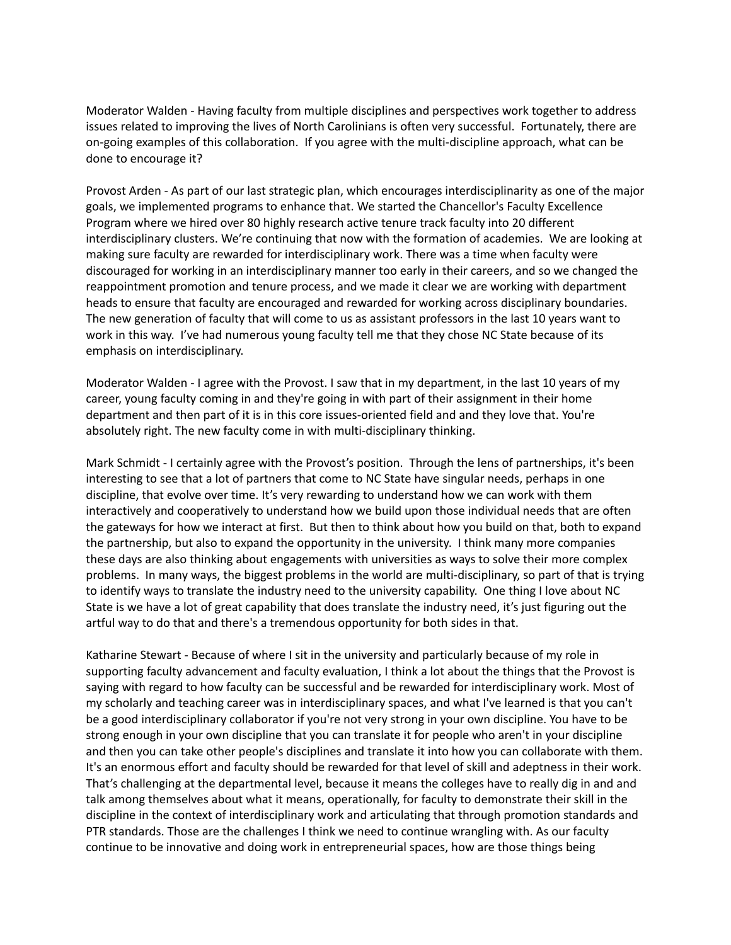Moderator Walden - Having faculty from multiple disciplines and perspectives work together to address issues related to improving the lives of North Carolinians is often very successful. Fortunately, there are on-going examples of this collaboration. If you agree with the multi-discipline approach, what can be done to encourage it?

Provost Arden - As part of our last strategic plan, which encourages interdisciplinarity as one of the major goals, we implemented programs to enhance that. We started the Chancellor's Faculty Excellence Program where we hired over 80 highly research active tenure track faculty into 20 different interdisciplinary clusters. We're continuing that now with the formation of academies. We are looking at making sure faculty are rewarded for interdisciplinary work. There was a time when faculty were discouraged for working in an interdisciplinary manner too early in their careers, and so we changed the reappointment promotion and tenure process, and we made it clear we are working with department heads to ensure that faculty are encouraged and rewarded for working across disciplinary boundaries. The new generation of faculty that will come to us as assistant professors in the last 10 years want to work in this way. I've had numerous young faculty tell me that they chose NC State because of its emphasis on interdisciplinary.

Moderator Walden - I agree with the Provost. I saw that in my department, in the last 10 years of my career, young faculty coming in and they're going in with part of their assignment in their home department and then part of it is in this core issues-oriented field and and they love that. You're absolutely right. The new faculty come in with multi-disciplinary thinking.

Mark Schmidt - I certainly agree with the Provost's position. Through the lens of partnerships, it's been interesting to see that a lot of partners that come to NC State have singular needs, perhaps in one discipline, that evolve over time. It's very rewarding to understand how we can work with them interactively and cooperatively to understand how we build upon those individual needs that are often the gateways for how we interact at first. But then to think about how you build on that, both to expand the partnership, but also to expand the opportunity in the university. I think many more companies these days are also thinking about engagements with universities as ways to solve their more complex problems. In many ways, the biggest problems in the world are multi-disciplinary, so part of that is trying to identify ways to translate the industry need to the university capability. One thing I love about NC State is we have a lot of great capability that does translate the industry need, it's just figuring out the artful way to do that and there's a tremendous opportunity for both sides in that.

Katharine Stewart - Because of where I sit in the university and particularly because of my role in supporting faculty advancement and faculty evaluation, I think a lot about the things that the Provost is saying with regard to how faculty can be successful and be rewarded for interdisciplinary work. Most of my scholarly and teaching career was in interdisciplinary spaces, and what I've learned is that you can't be a good interdisciplinary collaborator if you're not very strong in your own discipline. You have to be strong enough in your own discipline that you can translate it for people who aren't in your discipline and then you can take other people's disciplines and translate it into how you can collaborate with them. It's an enormous effort and faculty should be rewarded for that level of skill and adeptness in their work. That's challenging at the departmental level, because it means the colleges have to really dig in and and talk among themselves about what it means, operationally, for faculty to demonstrate their skill in the discipline in the context of interdisciplinary work and articulating that through promotion standards and PTR standards. Those are the challenges I think we need to continue wrangling with. As our faculty continue to be innovative and doing work in entrepreneurial spaces, how are those things being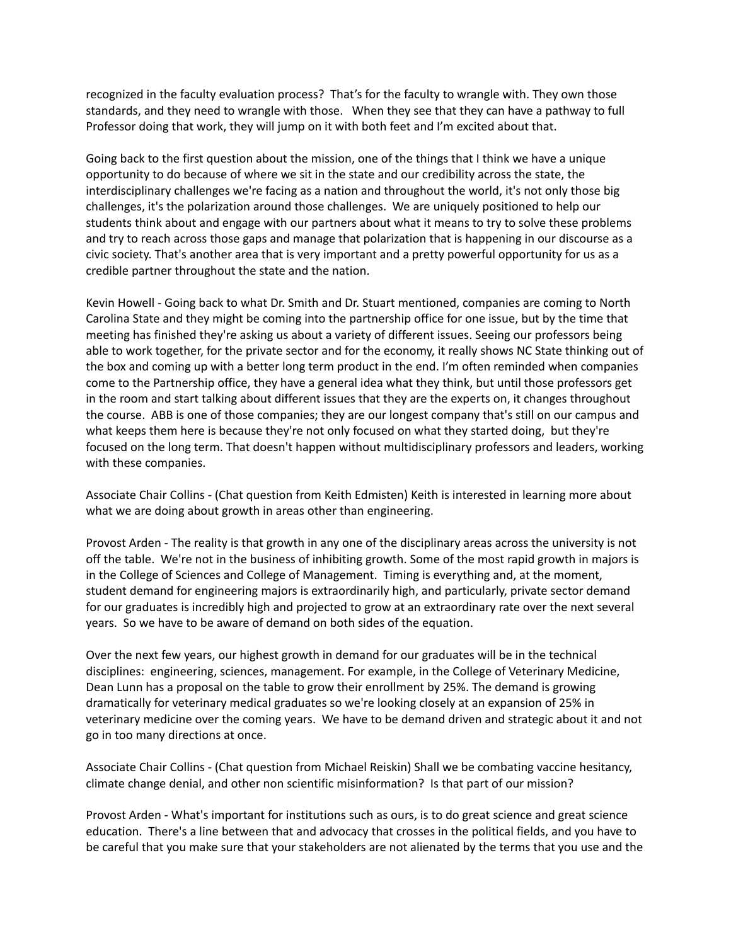recognized in the faculty evaluation process? That's for the faculty to wrangle with. They own those standards, and they need to wrangle with those. When they see that they can have a pathway to full Professor doing that work, they will jump on it with both feet and I'm excited about that.

Going back to the first question about the mission, one of the things that I think we have a unique opportunity to do because of where we sit in the state and our credibility across the state, the interdisciplinary challenges we're facing as a nation and throughout the world, it's not only those big challenges, it's the polarization around those challenges. We are uniquely positioned to help our students think about and engage with our partners about what it means to try to solve these problems and try to reach across those gaps and manage that polarization that is happening in our discourse as a civic society. That's another area that is very important and a pretty powerful opportunity for us as a credible partner throughout the state and the nation.

Kevin Howell - Going back to what Dr. Smith and Dr. Stuart mentioned, companies are coming to North Carolina State and they might be coming into the partnership office for one issue, but by the time that meeting has finished they're asking us about a variety of different issues. Seeing our professors being able to work together, for the private sector and for the economy, it really shows NC State thinking out of the box and coming up with a better long term product in the end. I'm often reminded when companies come to the Partnership office, they have a general idea what they think, but until those professors get in the room and start talking about different issues that they are the experts on, it changes throughout the course. ABB is one of those companies; they are our longest company that's still on our campus and what keeps them here is because they're not only focused on what they started doing, but they're focused on the long term. That doesn't happen without multidisciplinary professors and leaders, working with these companies.

Associate Chair Collins - (Chat question from Keith Edmisten) Keith is interested in learning more about what we are doing about growth in areas other than engineering.

Provost Arden - The reality is that growth in any one of the disciplinary areas across the university is not off the table. We're not in the business of inhibiting growth. Some of the most rapid growth in majors is in the College of Sciences and College of Management. Timing is everything and, at the moment, student demand for engineering majors is extraordinarily high, and particularly, private sector demand for our graduates is incredibly high and projected to grow at an extraordinary rate over the next several years. So we have to be aware of demand on both sides of the equation.

Over the next few years, our highest growth in demand for our graduates will be in the technical disciplines: engineering, sciences, management. For example, in the College of Veterinary Medicine, Dean Lunn has a proposal on the table to grow their enrollment by 25%. The demand is growing dramatically for veterinary medical graduates so we're looking closely at an expansion of 25% in veterinary medicine over the coming years. We have to be demand driven and strategic about it and not go in too many directions at once.

Associate Chair Collins - (Chat question from Michael Reiskin) Shall we be combating vaccine hesitancy, climate change denial, and other non scientific misinformation? Is that part of our mission?

Provost Arden - What's important for institutions such as ours, is to do great science and great science education. There's a line between that and advocacy that crosses in the political fields, and you have to be careful that you make sure that your stakeholders are not alienated by the terms that you use and the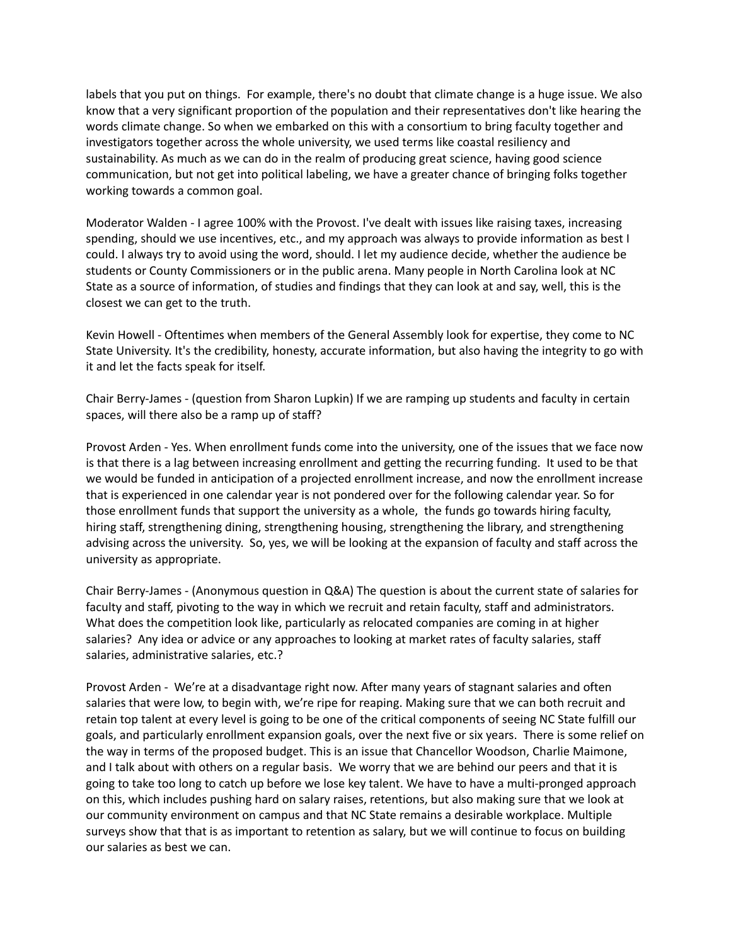labels that you put on things. For example, there's no doubt that climate change is a huge issue. We also know that a very significant proportion of the population and their representatives don't like hearing the words climate change. So when we embarked on this with a consortium to bring faculty together and investigators together across the whole university, we used terms like coastal resiliency and sustainability. As much as we can do in the realm of producing great science, having good science communication, but not get into political labeling, we have a greater chance of bringing folks together working towards a common goal.

Moderator Walden - I agree 100% with the Provost. I've dealt with issues like raising taxes, increasing spending, should we use incentives, etc., and my approach was always to provide information as best I could. I always try to avoid using the word, should. I let my audience decide, whether the audience be students or County Commissioners or in the public arena. Many people in North Carolina look at NC State as a source of information, of studies and findings that they can look at and say, well, this is the closest we can get to the truth.

Kevin Howell - Oftentimes when members of the General Assembly look for expertise, they come to NC State University. It's the credibility, honesty, accurate information, but also having the integrity to go with it and let the facts speak for itself.

Chair Berry-James - (question from Sharon Lupkin) If we are ramping up students and faculty in certain spaces, will there also be a ramp up of staff?

Provost Arden - Yes. When enrollment funds come into the university, one of the issues that we face now is that there is a lag between increasing enrollment and getting the recurring funding. It used to be that we would be funded in anticipation of a projected enrollment increase, and now the enrollment increase that is experienced in one calendar year is not pondered over for the following calendar year. So for those enrollment funds that support the university as a whole, the funds go towards hiring faculty, hiring staff, strengthening dining, strengthening housing, strengthening the library, and strengthening advising across the university. So, yes, we will be looking at the expansion of faculty and staff across the university as appropriate.

Chair Berry-James - (Anonymous question in Q&A) The question is about the current state of salaries for faculty and staff, pivoting to the way in which we recruit and retain faculty, staff and administrators. What does the competition look like, particularly as relocated companies are coming in at higher salaries? Any idea or advice or any approaches to looking at market rates of faculty salaries, staff salaries, administrative salaries, etc.?

Provost Arden - We're at a disadvantage right now. After many years of stagnant salaries and often salaries that were low, to begin with, we're ripe for reaping. Making sure that we can both recruit and retain top talent at every level is going to be one of the critical components of seeing NC State fulfill our goals, and particularly enrollment expansion goals, over the next five or six years. There is some relief on the way in terms of the proposed budget. This is an issue that Chancellor Woodson, Charlie Maimone, and I talk about with others on a regular basis. We worry that we are behind our peers and that it is going to take too long to catch up before we lose key talent. We have to have a multi-pronged approach on this, which includes pushing hard on salary raises, retentions, but also making sure that we look at our community environment on campus and that NC State remains a desirable workplace. Multiple surveys show that that is as important to retention as salary, but we will continue to focus on building our salaries as best we can.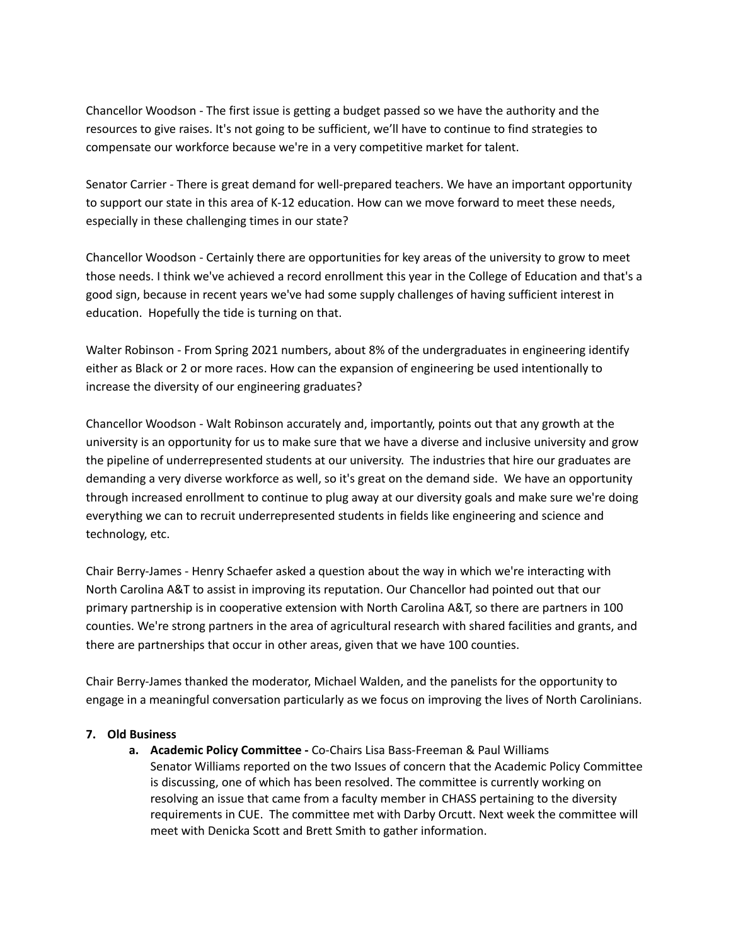Chancellor Woodson - The first issue is getting a budget passed so we have the authority and the resources to give raises. It's not going to be sufficient, we'll have to continue to find strategies to compensate our workforce because we're in a very competitive market for talent.

Senator Carrier - There is great demand for well-prepared teachers. We have an important opportunity to support our state in this area of K-12 education. How can we move forward to meet these needs, especially in these challenging times in our state?

Chancellor Woodson - Certainly there are opportunities for key areas of the university to grow to meet those needs. I think we've achieved a record enrollment this year in the College of Education and that's a good sign, because in recent years we've had some supply challenges of having sufficient interest in education. Hopefully the tide is turning on that.

Walter Robinson - From Spring 2021 numbers, about 8% of the undergraduates in engineering identify either as Black or 2 or more races. How can the expansion of engineering be used intentionally to increase the diversity of our engineering graduates?

Chancellor Woodson - Walt Robinson accurately and, importantly, points out that any growth at the university is an opportunity for us to make sure that we have a diverse and inclusive university and grow the pipeline of underrepresented students at our university. The industries that hire our graduates are demanding a very diverse workforce as well, so it's great on the demand side. We have an opportunity through increased enrollment to continue to plug away at our diversity goals and make sure we're doing everything we can to recruit underrepresented students in fields like engineering and science and technology, etc.

Chair Berry-James - Henry Schaefer asked a question about the way in which we're interacting with North Carolina A&T to assist in improving its reputation. Our Chancellor had pointed out that our primary partnership is in cooperative extension with North Carolina A&T, so there are partners in 100 counties. We're strong partners in the area of agricultural research with shared facilities and grants, and there are partnerships that occur in other areas, given that we have 100 counties.

Chair Berry-James thanked the moderator, Michael Walden, and the panelists for the opportunity to engage in a meaningful conversation particularly as we focus on improving the lives of North Carolinians.

# **7. Old Business**

**a. Academic Policy Committee -** Co-Chairs Lisa Bass-Freeman & Paul Williams Senator Williams reported on the two Issues of concern that the Academic Policy Committee is discussing, one of which has been resolved. The committee is currently working on resolving an issue that came from a faculty member in CHASS pertaining to the diversity requirements in CUE. The committee met with Darby Orcutt. Next week the committee will meet with Denicka Scott and Brett Smith to gather information.